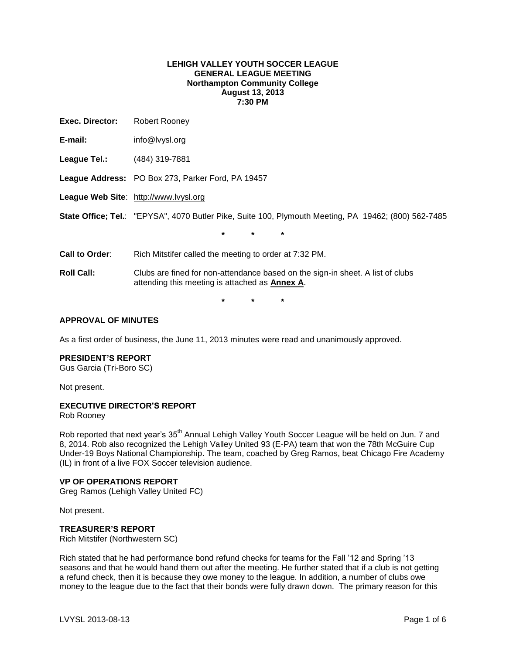### **LEHIGH VALLEY YOUTH SOCCER LEAGUE GENERAL LEAGUE MEETING Northampton Community College August 13, 2013 7:30 PM**

| Exec. Director:   | Robert Rooney                                                                                                                           |  |  |
|-------------------|-----------------------------------------------------------------------------------------------------------------------------------------|--|--|
| E-mail:           | info@lvysl.org                                                                                                                          |  |  |
| League Tel.:      | (484) 319-7881                                                                                                                          |  |  |
|                   | League Address: PO Box 273, Parker Ford, PA 19457                                                                                       |  |  |
|                   | League Web Site: http://www.lvysl.org                                                                                                   |  |  |
|                   | State Office; Tel.: "EPYSA", 4070 Butler Pike, Suite 100, Plymouth Meeting, PA 19462; (800) 562-7485                                    |  |  |
|                   | $\star$<br>$\star$<br>$\star$                                                                                                           |  |  |
| Call to Order:    | Rich Mitstifer called the meeting to order at 7:32 PM.                                                                                  |  |  |
| <b>Roll Call:</b> | Clubs are fined for non-attendance based on the sign-in sheet. A list of clubs<br>attending this meeting is attached as <b>Annex A.</b> |  |  |
|                   | $\star$<br>$\star$<br>$\star$                                                                                                           |  |  |

#### **APPROVAL OF MINUTES**

As a first order of business, the June 11, 2013 minutes were read and unanimously approved.

#### **PRESIDENT'S REPORT**

Gus Garcia (Tri-Boro SC)

Not present.

## **EXECUTIVE DIRECTOR'S REPORT**

Rob Rooney

Rob reported that next year's 35<sup>th</sup> Annual Lehigh Valley Youth Soccer League will be held on Jun. 7 and 8, 2014. Rob also recognized the Lehigh Valley United 93 (E-PA) team that won the 78th McGuire Cup Under-19 Boys National Championship. The team, coached by Greg Ramos, beat Chicago Fire Academy (IL) in front of a live FOX Soccer television audience.

## **VP OF OPERATIONS REPORT**

Greg Ramos (Lehigh Valley United FC)

Not present.

#### **TREASURER'S REPORT**

Rich Mitstifer (Northwestern SC)

Rich stated that he had performance bond refund checks for teams for the Fall '12 and Spring '13 seasons and that he would hand them out after the meeting. He further stated that if a club is not getting a refund check, then it is because they owe money to the league. In addition, a number of clubs owe money to the league due to the fact that their bonds were fully drawn down. The primary reason for this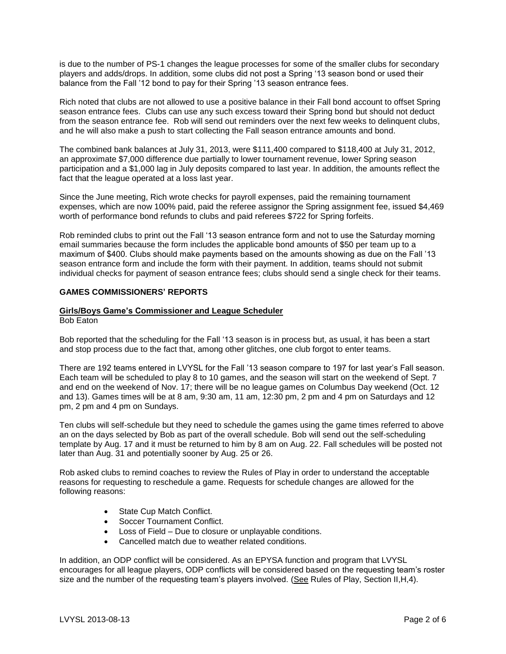is due to the number of PS-1 changes the league processes for some of the smaller clubs for secondary players and adds/drops. In addition, some clubs did not post a Spring '13 season bond or used their balance from the Fall '12 bond to pay for their Spring '13 season entrance fees.

Rich noted that clubs are not allowed to use a positive balance in their Fall bond account to offset Spring season entrance fees. Clubs can use any such excess toward their Spring bond but should not deduct from the season entrance fee. Rob will send out reminders over the next few weeks to delinquent clubs, and he will also make a push to start collecting the Fall season entrance amounts and bond.

The combined bank balances at July 31, 2013, were \$111,400 compared to \$118,400 at July 31, 2012, an approximate \$7,000 difference due partially to lower tournament revenue, lower Spring season participation and a \$1,000 lag in July deposits compared to last year. In addition, the amounts reflect the fact that the league operated at a loss last year.

Since the June meeting, Rich wrote checks for payroll expenses, paid the remaining tournament expenses, which are now 100% paid, paid the referee assignor the Spring assignment fee, issued \$4,469 worth of performance bond refunds to clubs and paid referees \$722 for Spring forfeits.

Rob reminded clubs to print out the Fall '13 season entrance form and not to use the Saturday morning email summaries because the form includes the applicable bond amounts of \$50 per team up to a maximum of \$400. Clubs should make payments based on the amounts showing as due on the Fall '13 season entrance form and include the form with their payment. In addition, teams should not submit individual checks for payment of season entrance fees; clubs should send a single check for their teams.

## **GAMES COMMISSIONERS' REPORTS**

## **Girls/Boys Game's Commissioner and League Scheduler**

Bob Eaton

Bob reported that the scheduling for the Fall '13 season is in process but, as usual, it has been a start and stop process due to the fact that, among other glitches, one club forgot to enter teams.

There are 192 teams entered in LVYSL for the Fall '13 season compare to 197 for last year's Fall season. Each team will be scheduled to play 8 to 10 games, and the season will start on the weekend of Sept. 7 and end on the weekend of Nov. 17; there will be no league games on Columbus Day weekend (Oct. 12 and 13). Games times will be at 8 am, 9:30 am, 11 am, 12:30 pm, 2 pm and 4 pm on Saturdays and 12 pm, 2 pm and 4 pm on Sundays.

Ten clubs will self-schedule but they need to schedule the games using the game times referred to above an on the days selected by Bob as part of the overall schedule. Bob will send out the self-scheduling template by Aug. 17 and it must be returned to him by 8 am on Aug. 22. Fall schedules will be posted not later than Aug. 31 and potentially sooner by Aug. 25 or 26.

Rob asked clubs to remind coaches to review the Rules of Play in order to understand the acceptable reasons for requesting to reschedule a game. Requests for schedule changes are allowed for the following reasons:

- State Cup Match Conflict.
- Soccer Tournament Conflict.
- Loss of Field Due to closure or unplayable conditions.
- Cancelled match due to weather related conditions.

In addition, an ODP conflict will be considered. As an EPYSA function and program that LVYSL encourages for all league players, ODP conflicts will be considered based on the requesting team's roster size and the number of the requesting team's players involved. (See Rules of Play, Section II, H, 4).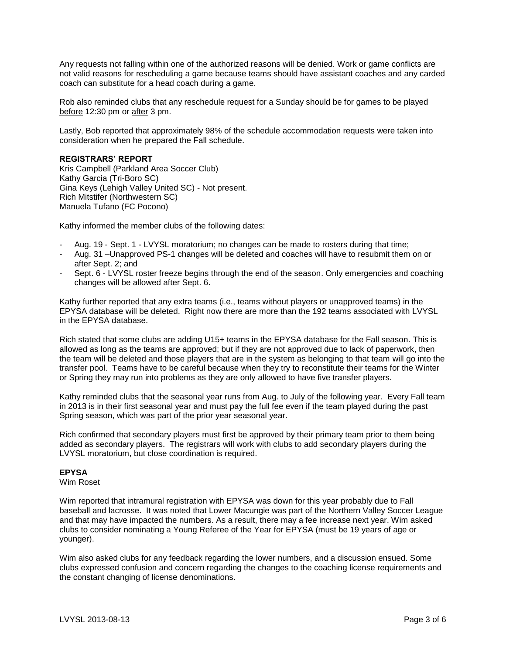Any requests not falling within one of the authorized reasons will be denied. Work or game conflicts are not valid reasons for rescheduling a game because teams should have assistant coaches and any carded coach can substitute for a head coach during a game.

Rob also reminded clubs that any reschedule request for a Sunday should be for games to be played before 12:30 pm or after 3 pm.

Lastly, Bob reported that approximately 98% of the schedule accommodation requests were taken into consideration when he prepared the Fall schedule.

### **REGISTRARS' REPORT**

Kris Campbell (Parkland Area Soccer Club) Kathy Garcia (Tri-Boro SC) Gina Keys (Lehigh Valley United SC) - Not present. Rich Mitstifer (Northwestern SC) Manuela Tufano (FC Pocono)

Kathy informed the member clubs of the following dates:

- Aug. 19 Sept. 1 LVYSL moratorium; no changes can be made to rosters during that time;
- Aug. 31 –Unapproved PS-1 changes will be deleted and coaches will have to resubmit them on or after Sept. 2; and
- Sept. 6 LVYSL roster freeze begins through the end of the season. Only emergencies and coaching changes will be allowed after Sept. 6.

Kathy further reported that any extra teams (i.e., teams without players or unapproved teams) in the EPYSA database will be deleted. Right now there are more than the 192 teams associated with LVYSL in the EPYSA database.

Rich stated that some clubs are adding U15+ teams in the EPYSA database for the Fall season. This is allowed as long as the teams are approved; but if they are not approved due to lack of paperwork, then the team will be deleted and those players that are in the system as belonging to that team will go into the transfer pool. Teams have to be careful because when they try to reconstitute their teams for the Winter or Spring they may run into problems as they are only allowed to have five transfer players.

Kathy reminded clubs that the seasonal year runs from Aug. to July of the following year. Every Fall team in 2013 is in their first seasonal year and must pay the full fee even if the team played during the past Spring season, which was part of the prior year seasonal year.

Rich confirmed that secondary players must first be approved by their primary team prior to them being added as secondary players. The registrars will work with clubs to add secondary players during the LVYSL moratorium, but close coordination is required.

### **EPYSA**

Wim Roset

Wim reported that intramural registration with EPYSA was down for this year probably due to Fall baseball and lacrosse. It was noted that Lower Macungie was part of the Northern Valley Soccer League and that may have impacted the numbers. As a result, there may a fee increase next year. Wim asked clubs to consider nominating a Young Referee of the Year for EPYSA (must be 19 years of age or younger).

Wim also asked clubs for any feedback regarding the lower numbers, and a discussion ensued. Some clubs expressed confusion and concern regarding the changes to the coaching license requirements and the constant changing of license denominations.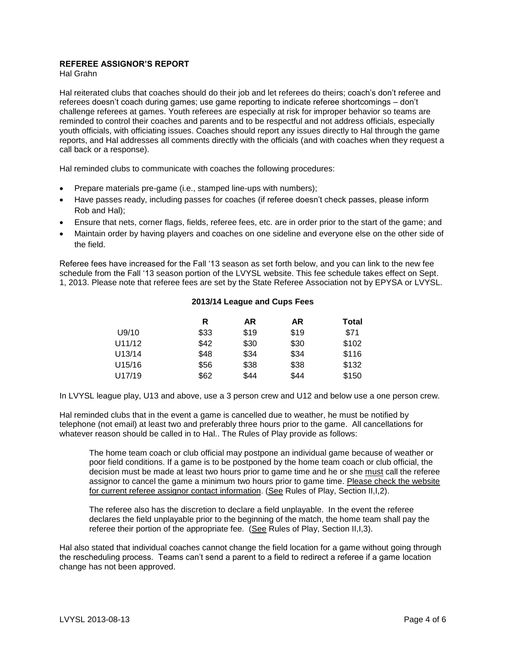# **REFEREE ASSIGNOR'S REPORT**

Hal Grahn

Hal reiterated clubs that coaches should do their job and let referees do theirs; coach's don't referee and referees doesn't coach during games; use game reporting to indicate referee shortcomings – don't challenge referees at games. Youth referees are especially at risk for improper behavior so teams are reminded to control their coaches and parents and to be respectful and not address officials, especially youth officials, with officiating issues. Coaches should report any issues directly to Hal through the game reports, and Hal addresses all comments directly with the officials (and with coaches when they request a call back or a response).

Hal reminded clubs to communicate with coaches the following procedures:

- Prepare materials pre-game (i.e., stamped line-ups with numbers);
- Have passes ready, including passes for coaches (if referee doesn't check passes, please inform Rob and Hal);
- Ensure that nets, corner flags, fields, referee fees, etc. are in order prior to the start of the game; and
- Maintain order by having players and coaches on one sideline and everyone else on the other side of the field.

Referee fees have increased for the Fall '13 season as set forth below, and you can link to the new fee schedule from the Fall '13 season portion of the LVYSL website. This fee schedule takes effect on Sept. 1, 2013. Please note that referee fees are set by the [State Referee Association](http://www.epsarc.org/) not by EPYSA or LVYSL.

#### **2013/14 League and Cups Fees**

| R    | AR   | AR   | Total |
|------|------|------|-------|
| \$33 | \$19 | \$19 | \$71  |
| \$42 | \$30 | \$30 | \$102 |
| \$48 | \$34 | \$34 | \$116 |
| \$56 | \$38 | \$38 | \$132 |
| \$62 | \$44 | \$44 | \$150 |
|      |      |      |       |

In LVYSL league play, U13 and above, use a 3 person crew and U12 and below use a one person crew.

Hal reminded clubs that in the event a game is cancelled due to weather, he must be notified by telephone (not email) at least two and preferably three hours prior to the game. All cancellations for whatever reason should be called in to Hal.. The Rules of Play provide as follows:

The home team coach or club official may postpone an individual game because of weather or poor field conditions. If a game is to be postponed by the home team coach or club official, the decision must be made at least two hours prior to game time and he or she must call the referee assignor to cancel the game a minimum two hours prior to game time. Please check the website for current referee assignor contact information. (See Rules of Play, Section II,I,2).

The referee also has the discretion to declare a field unplayable. In the event the referee declares the field unplayable prior to the beginning of the match, the home team shall pay the referee their portion of the appropriate fee. (See Rules of Play, Section II,I,3).

Hal also stated that individual coaches cannot change the field location for a game without going through the rescheduling process. Teams can't send a parent to a field to redirect a referee if a game location change has not been approved.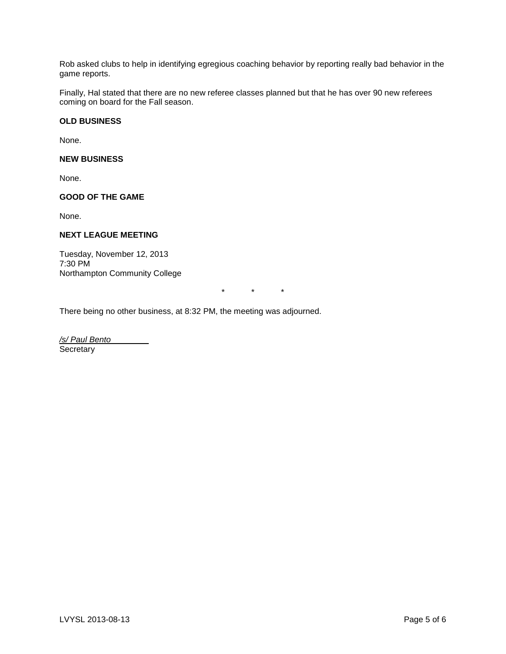Rob asked clubs to help in identifying egregious coaching behavior by reporting really bad behavior in the game reports.

Finally, Hal stated that there are no new referee classes planned but that he has over 90 new referees coming on board for the Fall season.

# **OLD BUSINESS**

None.

# **NEW BUSINESS**

None.

# **GOOD OF THE GAME**

None.

# **NEXT LEAGUE MEETING**

Tuesday, November 12, 2013 7:30 PM Northampton Community College

\* \* \*

There being no other business, at 8:32 PM, the meeting was adjourned.

*/s/ Paul Bento* **Secretary**